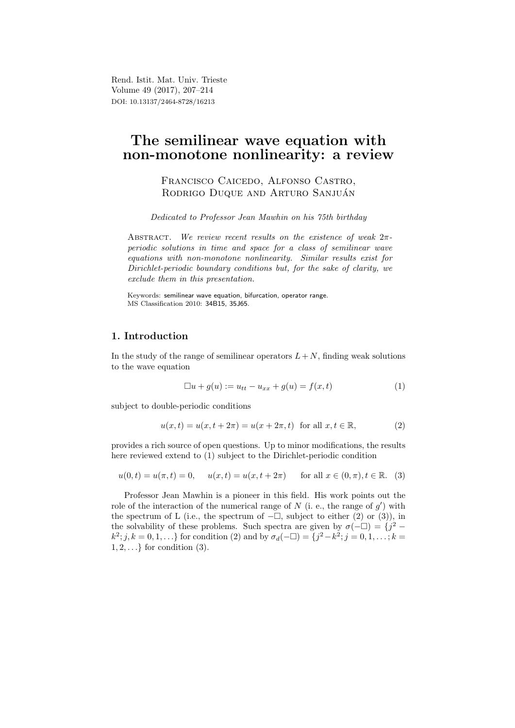Rend. Istit. Mat. Univ. Trieste Volume 49 (2017), 207–214 DOI: 10.13137/2464-8728/16213

# The semilinear wave equation with non-monotone nonlinearity: a review

Francisco Caicedo, Alfonso Castro, RODRIGO DUQUE AND ARTURO SANJUÁN

Dedicated to Professor Jean Mawhin on his 75th birthday

ABSTRACT. We review recent results on the existence of weak  $2\pi$ periodic solutions in time and space for a class of semilinear wave equations with non-monotone nonlinearity. Similar results exist for Dirichlet-periodic boundary conditions but, for the sake of clarity, we exclude them in this presentation.

Keywords: semilinear wave equation, bifurcation, operator range. MS Classification 2010: 34B15, 35J65.

## 1. Introduction

In the study of the range of semilinear operators  $L+N$ , finding weak solutions to the wave equation

$$
\Box u + g(u) := u_{tt} - u_{xx} + g(u) = f(x, t)
$$
\n(1)

subject to double-periodic conditions

$$
u(x,t) = u(x, t + 2\pi) = u(x + 2\pi, t) \text{ for all } x, t \in \mathbb{R},
$$
 (2)

provides a rich source of open questions. Up to minor modifications, the results here reviewed extend to (1) subject to the Dirichlet-periodic condition

$$
u(0,t) = u(\pi, t) = 0
$$
,  $u(x,t) = u(x, t + 2\pi)$  for all  $x \in (0, \pi), t \in \mathbb{R}$ . (3)

Professor Jean Mawhin is a pioneer in this field. His work points out the role of the interaction of the numerical range of  $N$  (i. e., the range of  $g'$ ) with the spectrum of L (i.e., the spectrum of  $-\square$ , subject to either (2) or (3)), in the solvability of these problems. Such spectra are given by  $\sigma(-\Box) = \{j^2$  $k^2; j, k = 0, 1, \ldots$ } for condition (2) and by  $\sigma_d(-\Box) = \{j^2 - k^2; j = 0, 1, \ldots; k = 1\}$  $1, 2, \ldots\}$  for condition  $(3)$ .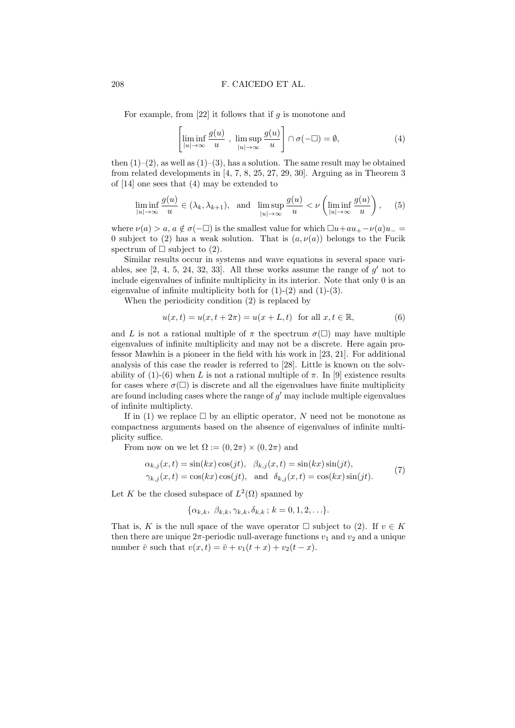For example, from  $[22]$  it follows that if g is monotone and

$$
\left[\liminf_{|u| \to \infty} \frac{g(u)}{u}, \limsup_{|u| \to \infty} \frac{g(u)}{u}\right] \cap \sigma(-\Box) = \emptyset,
$$
\n(4)

then  $(1)-(2)$ , as well as  $(1)-(3)$ , has a solution. The same result may be obtained from related developments in [4, 7, 8, 25, 27, 29, 30]. Arguing as in Theorem 3 of [14] one sees that (4) may be extended to

$$
\liminf_{|u| \to \infty} \frac{g(u)}{u} \in (\lambda_k, \lambda_{k+1}), \text{ and } \limsup_{|u| \to \infty} \frac{g(u)}{u} < \nu \left( \liminf_{|u| \to \infty} \frac{g(u)}{u} \right), \quad (5)
$$

where  $\nu(a) > a, a \notin \sigma(-\Box)$  is the smallest value for which  $\Box u+au_+ - \nu(a)u_-$ 0 subject to (2) has a weak solution. That is  $(a, \nu(a))$  belongs to the Fucik spectrum of  $\Box$  subject to (2).

Similar results occur in systems and wave equations in several space variables, see  $[2, 4, 5, 24, 32, 33]$ . All these works assume the range of  $g'$  not to include eigenvalues of infinite multiplicity in its interior. Note that only 0 is an eigenvalue of infinite multiplicity both for  $(1)-(2)$  and  $(1)-(3)$ .

When the periodicity condition (2) is replaced by

$$
u(x,t) = u(x, t + 2\pi) = u(x + L, t) \text{ for all } x, t \in \mathbb{R},
$$
 (6)

and L is not a rational multiple of  $\pi$  the spectrum  $\sigma(\Box)$  may have multiple eigenvalues of infinite multiplicity and may not be a discrete. Here again professor Mawhin is a pioneer in the field with his work in [23, 21]. For additional analysis of this case the reader is referred to [28]. Little is known on the solvability of (1)-(6) when L is not a rational multiple of  $\pi$ . In [9] existence results for cases where  $\sigma(\square)$  is discrete and all the eigenvalues have finite multiplicity are found including cases where the range of  $g'$  may include multiple eigenvalues of infinite multiplicty.

If in (1) we replace  $\Box$  by an elliptic operator, N need not be monotone as compactness arguments based on the absence of eigenvalues of infinite multiplicity suffice.

From now on we let  $\Omega := (0, 2\pi) \times (0, 2\pi)$  and

$$
\alpha_{k,j}(x,t) = \sin(kx)\cos(jt), \quad \beta_{k,j}(x,t) = \sin(kx)\sin(jt),
$$
  

$$
\gamma_{k,j}(x,t) = \cos(kx)\cos(jt), \quad \text{and} \quad \delta_{k,j}(x,t) = \cos(kx)\sin(jt).
$$
 (7)

Let K be the closed subspace of  $L^2(\Omega)$  spanned by

$$
\{\alpha_{k,k}, \ \beta_{k,k}, \gamma_{k,k}, \delta_{k,k} ; k = 0, 1, 2, \ldots\}.
$$

That is, K is the null space of the wave operator  $\Box$  subject to (2). If  $v \in K$ then there are unique  $2\pi$ -periodic null-average functions  $v_1$  and  $v_2$  and a unique number  $\overline{v}$  such that  $v(x, t) = \overline{v} + v_1(t + x) + v_2(t - x)$ .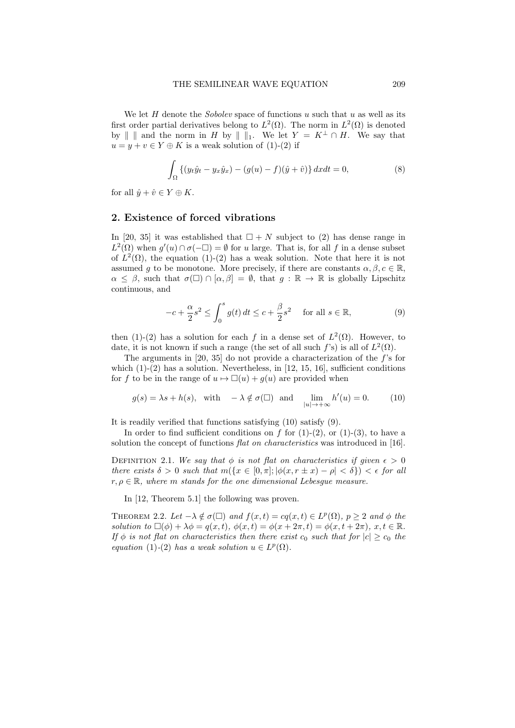We let  $H$  denote the *Sobolev* space of functions  $u$  such that  $u$  as well as its first order partial derivatives belong to  $L^2(\Omega)$ . The norm in  $L^2(\Omega)$  is denoted by  $\| \|\|$  and the norm in H by  $\| \|\|_1$ . We let  $Y = K^{\perp} \cap H$ . We say that  $u = y + v \in Y \oplus K$  is a weak solution of (1)-(2) if

$$
\int_{\Omega} \left\{ (y_t \hat{y}_t - y_x \hat{y}_x) - (g(u) - f)(\hat{y} + \hat{v}) \right\} dx dt = 0,
$$
\n(8)

for all  $\hat{y} + \hat{v} \in Y \oplus K$ .

### 2. Existence of forced vibrations

In [20, 35] it was established that  $\Box + N$  subject to (2) has dense range in  $L^2(\Omega)$  when  $g'(u) \cap \sigma(-\square) = \emptyset$  for u large. That is, for all f in a dense subset of  $L^2(\Omega)$ , the equation (1)-(2) has a weak solution. Note that here it is not assumed g to be monotone. More precisely, if there are constants  $\alpha, \beta, c \in \mathbb{R}$ ,  $\alpha \leq \beta$ , such that  $\sigma(\square) \cap [\alpha, \beta] = \emptyset$ , that  $g : \mathbb{R} \to \mathbb{R}$  is globally Lipschitz continuous, and

$$
-c + \frac{\alpha}{2}s^2 \le \int_0^s g(t) dt \le c + \frac{\beta}{2}s^2 \quad \text{for all } s \in \mathbb{R},
$$
 (9)

then (1)-(2) has a solution for each f in a dense set of  $L^2(\Omega)$ . However, to date, it is not known if such a range (the set of all such  $f$ 's) is all of  $L^2(\Omega)$ .

The arguments in [20, 35] do not provide a characterization of the f's for which  $(1)-(2)$  has a solution. Nevertheless, in [12, 15, 16], sufficient conditions for f to be in the range of  $u \mapsto \Box(u) + g(u)$  are provided when

$$
g(s) = \lambda s + h(s)
$$
, with  $-\lambda \notin \sigma(\square)$  and  $\lim_{|u| \to +\infty} h'(u) = 0.$  (10)

It is readily verified that functions satisfying (10) satisfy (9).

In order to find sufficient conditions on  $f$  for  $(1)-(2)$ , or  $(1)-(3)$ , to have a solution the concept of functions *flat on characteristics* was introduced in [16].

DEFINITION 2.1. We say that  $\phi$  is not flat on characteristics if given  $\epsilon > 0$ there exists  $\delta > 0$  such that  $m(\lbrace x \in [0, \pi] \rbrace |\phi(x, r \pm x) - \rho| < \delta \rbrace) < \epsilon$  for all  $r, \rho \in \mathbb{R}$ , where m stands for the one dimensional Lebesque measure.

In [12, Theorem 5.1] the following was proven.

THEOREM 2.2. Let  $-\lambda \notin \sigma(\square)$  and  $f(x,t) = cq(x,t) \in L^p(\Omega)$ ,  $p \ge 2$  and  $\phi$  the solution to  $\Box(\phi) + \lambda \phi = q(x, t), \ \phi(x, t) = \phi(x + 2\pi, t) = \phi(x, t + 2\pi), \ x, t \in \mathbb{R}$ . If  $\phi$  is not flat on characteristics then there exist  $c_0$  such that for  $|c| \geq c_0$  the equation (1)-(2) has a weak solution  $u \in L^p(\Omega)$ .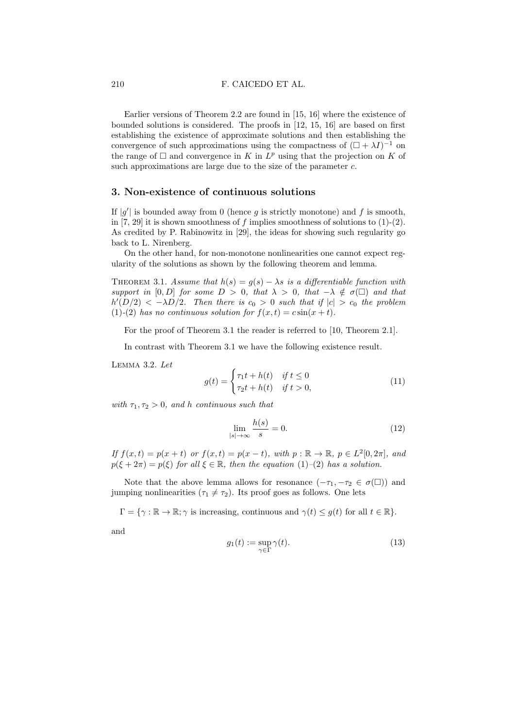Earlier versions of Theorem 2.2 are found in [15, 16] where the existence of bounded solutions is considered. The proofs in [12, 15, 16] are based on first establishing the existence of approximate solutions and then establishing the convergence of such approximations using the compactness of  $(\Box + \lambda I)^{-1}$  on the range of  $\square$  and convergence in K in  $L^p$  using that the projection on K of such approximations are large due to the size of the parameter c.

## 3. Non-existence of continuous solutions

If  $|g'|$  is bounded away from 0 (hence g is strictly monotone) and f is smooth, in  $[7, 29]$  it is shown smoothness of f implies smoothness of solutions to  $(1)-(2)$ . As credited by P. Rabinowitz in [29], the ideas for showing such regularity go back to L. Nirenberg.

On the other hand, for non-monotone nonlinearities one cannot expect regularity of the solutions as shown by the following theorem and lemma.

THEOREM 3.1. Assume that  $h(s) = g(s) - \lambda s$  is a differentiable function with support in [0, D] for some  $D > 0$ , that  $\lambda > 0$ , that  $-\lambda \notin \sigma(\square)$  and that  $h'(D/2) < -\lambda D/2$ . Then there is  $c_0 > 0$  such that if  $|c| > c_0$  the problem (1)-(2) has no continuous solution for  $f(x,t) = c \sin(x + t)$ .

For the proof of Theorem 3.1 the reader is referred to [10, Theorem 2.1].

In contrast with Theorem 3.1 we have the following existence result.

Lemma 3.2. Let

$$
g(t) = \begin{cases} \tau_1 t + h(t) & \text{if } t \le 0\\ \tau_2 t + h(t) & \text{if } t > 0, \end{cases} \tag{11}
$$

with  $\tau_1, \tau_2 > 0$ , and h continuous such that

$$
\lim_{|s| \to \infty} \frac{h(s)}{s} = 0. \tag{12}
$$

If  $f(x,t) = p(x+t)$  or  $f(x,t) = p(x-t)$ , with  $p : \mathbb{R} \to \mathbb{R}$ ,  $p \in L^2[0, 2\pi]$ , and  $p(\xi + 2\pi) = p(\xi)$  for all  $\xi \in \mathbb{R}$ , then the equation (1)–(2) has a solution.

Note that the above lemma allows for resonance  $(-\tau_1, -\tau_2 \in \sigma(\Box))$  and jumping nonlinearities  $(\tau_1 \neq \tau_2)$ . Its proof goes as follows. One lets

 $\Gamma = \{ \gamma : \mathbb{R} \to \mathbb{R}; \gamma \text{ is increasing, continuous and } \gamma(t) \le g(t) \text{ for all } t \in \mathbb{R} \}.$ 

and

$$
g_1(t) := \sup_{\gamma \in \Gamma} \gamma(t). \tag{13}
$$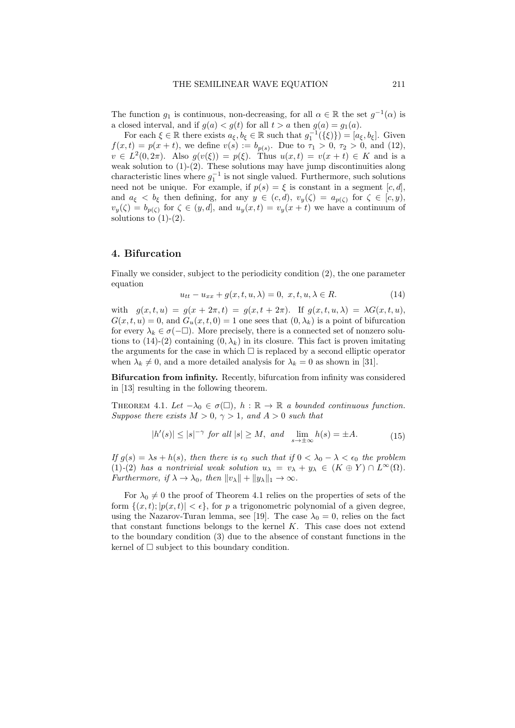The function  $g_1$  is continuous, non-decreasing, for all  $\alpha \in \mathbb{R}$  the set  $g^{-1}(\alpha)$  is a closed interval, and if  $g(a) < g(t)$  for all  $t > a$  then  $g(a) = g_1(a)$ .

For each  $\xi \in \mathbb{R}$  there exists  $a_{\xi}, b_{\xi} \in \mathbb{R}$  such that  $g_1^{-1}(\{\xi\}) = [a_{\xi}, b_{\xi}]$ . Given  $f(x,t) = p(x+t)$ , we define  $v(s) := b_{p(s)}$ . Due to  $\tau_1 > 0$ ,  $\tau_2 > 0$ , and (12),  $v \in L^2(0, 2\pi)$ . Also  $g(v(\xi)) = p(\xi)$ . Thus  $u(x, t) = v(x + t) \in K$  and is a weak solution to  $(1)-(2)$ . These solutions may have jump discontinuities along characteristic lines where  $g_1^{-1}$  is not single valued. Furthermore, such solutions need not be unique. For example, if  $p(s) = \xi$  is constant in a segment  $[c, d]$ , and  $a_{\xi} < b_{\xi}$  then defining, for any  $y \in (c, d)$ ,  $v_y(\zeta) = a_{p(\zeta)}$  for  $\zeta \in [c, y)$ ,  $v_y(\zeta) = b_{p(\zeta)}$  for  $\zeta \in (y, d]$ , and  $u_y(x, t) = v_y(x + t)$  we have a continuum of solutions to  $(1)-(2)$ .

## 4. Bifurcation

Finally we consider, subject to the periodicity condition (2), the one parameter equation

$$
u_{tt} - u_{xx} + g(x, t, u, \lambda) = 0, \ x, t, u, \lambda \in R.
$$
 (14)

with  $g(x, t, u) = g(x + 2\pi, t) = g(x, t + 2\pi)$ . If  $g(x, t, u, \lambda) = \lambda G(x, t, u)$ ,  $G(x, t, u) = 0$ , and  $G_u(x, t, 0) = 1$  one sees that  $(0, \lambda_k)$  is a point of bifurcation for every  $\lambda_k \in \sigma(-\Box)$ . More precisely, there is a connected set of nonzero solutions to  $(14)-(2)$  containing  $(0, \lambda_k)$  in its closure. This fact is proven imitating the arguments for the case in which  $\Box$  is replaced by a second elliptic operator when  $\lambda_k \neq 0$ , and a more detailed analysis for  $\lambda_k = 0$  as shown in [31].

Bifurcation from infinity. Recently, bifurcation from infinity was considered in [13] resulting in the following theorem.

THEOREM 4.1. Let  $-\lambda_0 \in \sigma(\square)$ ,  $h : \mathbb{R} \to \mathbb{R}$  a bounded continuous function. Suppose there exists  $M > 0$ ,  $\gamma > 1$ , and  $A > 0$  such that

$$
|h'(s)| \le |s|^{-\gamma} \text{ for all } |s| \ge M, \text{ and } \lim_{s \to \pm \infty} h(s) = \pm A. \tag{15}
$$

If  $g(s) = \lambda s + h(s)$ , then there is  $\epsilon_0$  such that if  $0 < \lambda_0 - \lambda < \epsilon_0$  the problem (1)-(2) has a nontrivial weak solution  $u_{\lambda} = v_{\lambda} + y_{\lambda} \in (K \oplus Y) \cap L^{\infty}(\Omega)$ . Furthermore, if  $\lambda \to \lambda_0$ , then  $||v_\lambda|| + ||y_\lambda||_1 \to \infty$ .

For  $\lambda_0 \neq 0$  the proof of Theorem 4.1 relies on the properties of sets of the form  $\{(x, t); |p(x, t)| < \epsilon\}$ , for p a trigonometric polynomial of a given degree, using the Nazarov-Turan lemma, see [19]. The case  $\lambda_0 = 0$ , relies on the fact that constant functions belongs to the kernel K. This case does not extend to the boundary condition (3) due to the absence of constant functions in the kernel of  $\square$  subject to this boundary condition.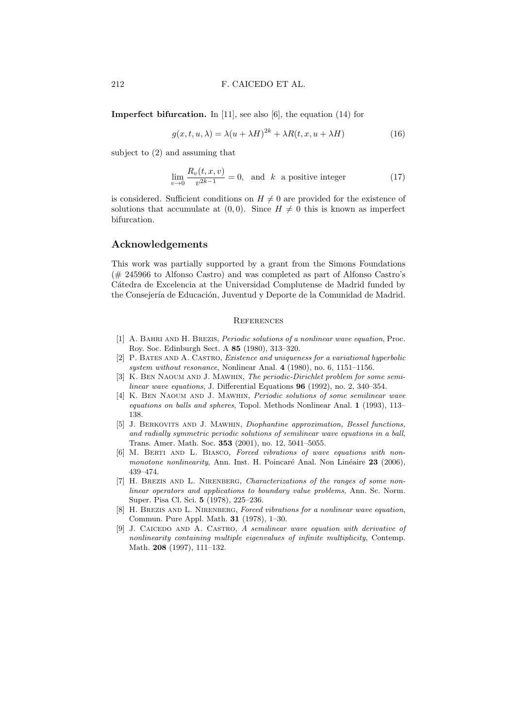Imperfect bifurcation. In [11], see also [6], the equation (14) for

$$
g(x, t, u, \lambda) = \lambda (u + \lambda H)^{2k} + \lambda R(t, x, u + \lambda H)
$$
\n(16)

subject to (2) and assuming that

$$
\lim_{v \to 0} \frac{R_v(t, x, v)}{v^{2k - 1}} = 0, \text{ and } k \text{ a positive integer} \tag{17}
$$

is considered. Sufficient conditions on  $H \neq 0$  are provided for the existence of solutions that accumulate at  $(0, 0)$ . Since  $H \neq 0$  this is known as imperfect bifurcation.

## Acknowledgements

This work was partially supported by a grant from the Simons Foundations (# 245966 to Alfonso Castro) and was completed as part of Alfonso Castro's Cátedra de Excelencia at the Universidad Complutense de Madrid funded by the Consejería de Educación, Juventud y Deporte de la Comunidad de Madrid.

#### **REFERENCES**

- [1] A. Bahri and H. Brezis, Periodic solutions of a nonlinear wave equation, Proc. Roy. Soc. Edinburgh Sect. A 85 (1980), 313–320.
- [2] P. Bates and A. Castro, Existence and uniqueness for a variational hyperbolic system without resonance, Nonlinear Anal. 4 (1980), no. 6, 1151–1156.
- [3] K. BEN NAOUM AND J. MAWHIN, The periodic-Dirichlet problem for some semilinear wave equations, J. Differential Equations 96 (1992), no. 2, 340–354.
- [4] K. Ben Naoum and J. Mawhin, Periodic solutions of some semilinear wave equations on balls and spheres, Topol. Methods Nonlinear Anal. 1 (1993), 113– 138.
- [5] J. Berkovits and J. Mawhin, Diophantine approximation, Bessel functions, and radially symmetric periodic solutions of semilinear wave equations in a ball, Trans. Amer. Math. Soc. 353 (2001), no. 12, 5041–5055.
- [6] M. Berti and L. Biasco, Forced vibrations of wave equations with nonmonotone nonlinearity, Ann. Inst. H. Poincaré Anal. Non Linéaire  $23$  (2006), 439–474.
- [7] H. BREZIS AND L. NIRENBERG, Characterizations of the ranges of some nonlinear operators and applications to boundary value problems, Ann. Sc. Norm. Super. Pisa Cl. Sci. 5 (1978), 225–236.
- [8] H. BREZIS AND L. NIRENBERG, Forced vibrations for a nonlinear wave equation, Commun. Pure Appl. Math. 31 (1978), 1–30.
- [9] J. CAICEDO AND A. CASTRO, A semilinear wave equation with derivative of nonlinearity containing multiple eigenvalues of infinite multiplicity, Contemp. Math. 208 (1997), 111–132.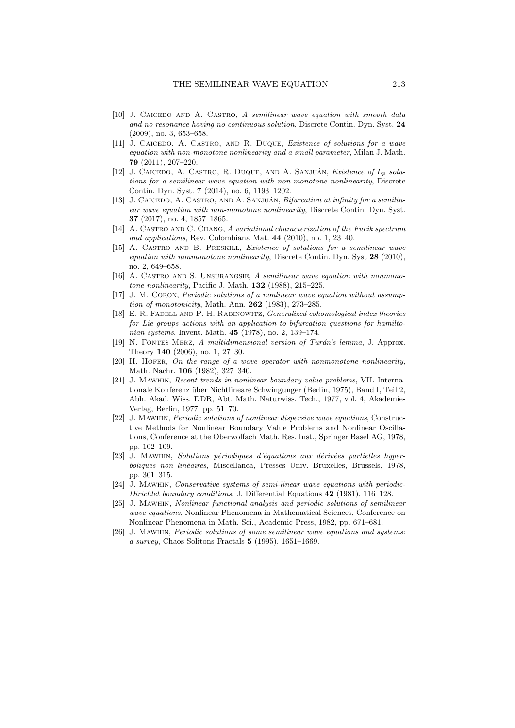- $[10]$  J. CAICEDO AND A. CASTRO, A semilinear wave equation with smooth data and no resonance having no continuous solution, Discrete Contin. Dyn. Syst. 24 (2009), no. 3, 653–658.
- [11] J. CAICEDO, A. CASTRO, AND R. DUQUE, *Existence of solutions for a wave* equation with non-monotone nonlinearity and a small parameter, Milan J. Math. 79 (2011), 207–220.
- [12] J. CAICEDO, A. CASTRO, R. DUQUE, AND A. SANJUÁN, Existence of  $L_p$  solutions for a semilinear wave equation with non-monotone nonlinearity, Discrete Contin. Dyn. Syst. 7 (2014), no. 6, 1193–1202.
- [13] J. CAICEDO, A. CASTRO, AND A. SANJUÁN, Bifurcation at infinity for a semilinear wave equation with non-monotone nonlinearity, Discrete Contin. Dyn. Syst. 37 (2017), no. 4, 1857–1865.
- [14] A. CASTRO AND C. CHANG, A variational characterization of the Fucik spectrum and applications, Rev. Colombiana Mat. 44 (2010), no. 1, 23–40.
- [15] A. Castro and B. Preskill, Existence of solutions for a semilinear wave equation with nonmonotone nonlinearity, Discrete Contin. Dyn. Syst 28 (2010), no. 2, 649–658.
- [16] A. Castro and S. Unsurangsie, A semilinear wave equation with nonmono*tone nonlinearity*, Pacific J. Math.  $132$  (1988), 215–225.
- [17] J. M. Coron, Periodic solutions of a nonlinear wave equation without assumption of monotonicity, Math. Ann. 262 (1983), 273-285.
- [18] E. R. FADELL AND P. H. RABINOWITZ, *Generalized cohomological index theories* for Lie groups actions with an application to bifurcation questions for hamiltonian systems, Invent. Math. 45 (1978), no. 2, 139–174.
- [19] N. FONTES-MERZ, A multidimensional version of Turán's lemma, J. Approx. Theory 140 (2006), no. 1, 27–30.
- [20] H. HOFER, On the range of a wave operator with nonmonotone nonlinearity, Math. Nachr. 106 (1982), 327–340.
- [21] J. Mawhin, Recent trends in nonlinear boundary value problems, VII. Internationale Konferenz über Nichtlineare Schwingunger (Berlin, 1975), Band I, Teil 2, Abh. Akad. Wiss. DDR, Abt. Math. Naturwiss. Tech., 1977, vol. 4, Akademie-Verlag, Berlin, 1977, pp. 51–70.
- [22] J. Mawhin, Periodic solutions of nonlinear dispersive wave equations, Constructive Methods for Nonlinear Boundary Value Problems and Nonlinear Oscillations, Conference at the Oberwolfach Math. Res. Inst., Springer Basel AG, 1978, pp. 102–109.
- $[23]$  J. Mawhin, Solutions périodiques d'équations aux dérivées partielles hyperboliques non linéaires, Miscellanea, Presses Univ. Bruxelles, Brussels, 1978, pp. 301–315.
- [24] J. Mawhin, Conservative systems of semi-linear wave equations with periodic-Dirichlet boundary conditions, J. Differential Equations 42 (1981), 116–128.
- [25] J. Mawhin, Nonlinear functional analysis and periodic solutions of semilinear wave equations, Nonlinear Phenomena in Mathematical Sciences, Conference on Nonlinear Phenomena in Math. Sci., Academic Press, 1982, pp. 671–681.
- [26] J. Mawhin, Periodic solutions of some semilinear wave equations and systems: a survey, Chaos Solitons Fractals 5 (1995), 1651–1669.